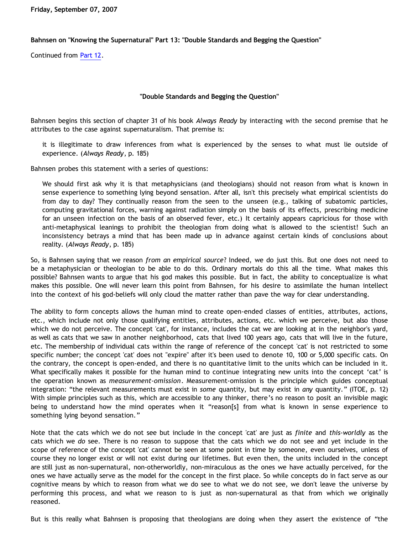**Friday, September 07, 2007**

**Bahnsen on "Knowing the Supernatural" Part 13: "Double Standards and Begging the Question"** 

Continued from [Part 12](http://bahnsenburner.blogspot.com/2007/09/bahnsen-on-knowing-supernatural-part-12.html).

## **"Double Standards and Begging the Question"**

Bahnsen begins this section of chapter 31 of his book *Always Ready* by interacting with the second premise that he attributes to the case against supernaturalism. That premise is:

it is illegitimate to draw inferences from what is experienced by the senses to what must lie outside of experience. (*Always Ready*, p. 185)

Bahnsen probes this statement with a series of questions:

We should first ask why it is that metaphysicians (and theologians) should not reason from what is known in sense experience to something lying beyond sensation. After all, isn't this precisely what empirical scientists do from day to day? They continually reason from the seen to the unseen (e.g., talking of subatomic particles, computing gravitational forces, warning against radiation simply on the basis of its effects, prescribing medicine for an unseen infection on the basis of an observed fever, etc.) It certainly appears capricious for those with anti-metaphysical leanings to prohibit the theologian from doing what is allowed to the scientist! Such an inconsistency betrays a mind that has been made up in advance against certain kinds of conclusions about reality. (*Always Ready*, p. 185)

So, is Bahnsen saying that we reason *from an empirical source*? Indeed, we do just this. But one does not need to be a metaphysician or theologian to be able to do this. Ordinary mortals do this all the time. What makes this possible? Bahnsen wants to argue that his god makes this possible. But in fact, the ability to conceptualize is what makes this possible. One will never learn this point from Bahnsen, for his desire to assimilate the human intellect into the context of his god-beliefs will only cloud the matter rather than pave the way for clear understanding.

The ability to form concepts allows the human mind to create open-ended classes of entities, attributes, actions, etc., which include not only those qualifying entities, attributes, actions, etc. which we perceive, but also those which we do not perceive. The concept 'cat', for instance, includes the cat we are looking at in the neighbor's yard, as well as cats that we saw in another neighborhood, cats that lived 100 years ago, cats that will live in the future, etc. The membership of individual cats within the range of reference of the concept 'cat' is not restricted to some specific number; the concept 'cat' does not "expire" after it's been used to denote 10, 100 or 5,000 specific cats. On the contrary, the concept is open-ended, and there is no quantitative limit to the units which can be included in it. What specifically makes it possible for the human mind to continue integrating new units into the concept 'cat' is the operation known as *measurement-omission*. Measurement-omission is the principle which guides conceptual integration: "the relevant measurements must exist in *some* quantity, but may exist in *any* quantity." (ITOE, p. 12) With simple principles such as this, which are accessible to any thinker, there's no reason to posit an invisible magic being to understand how the mind operates when it "reason[s] from what is known in sense experience to something lying beyond sensation."

Note that the cats which we do not see but include in the concept 'cat' are just as *finite* and *this-worldly* as the cats which we *do* see. There is no reason to suppose that the cats which we do not see and yet include in the scope of reference of the concept 'cat' cannot be seen at some point in time by someone, even ourselves, unless of course they no longer exist or will not exist during our lifetimes. But even then, the units included in the concept are still just as non-supernatural, non-otherworldly, non-miraculous as the ones we have actually perceived, for the ones we have actually serve as the model for the concept in the first place. So while concepts do in fact serve as our cognitive means by which to reason from what we do see to what we do not see, we don't leave the universe by performing this process, and what we reason to is just as non-supernatural as that from which we originally reasoned.

But is this really what Bahnsen is proposing that theologians are doing when they assert the existence of "the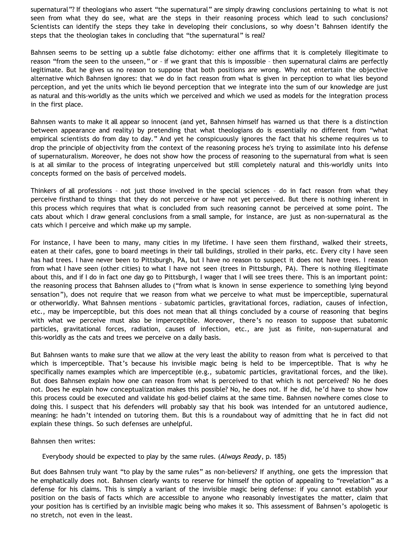supernatural"? If theologians who assert "the supernatural" are simply drawing conclusions pertaining to what is not seen from what they do see, what are the steps in their reasoning process which lead to such conclusions? Scientists can identify the steps they take in developing their conclusions, so why doesn't Bahnsen identify the steps that the theologian takes in concluding that "the supernatural" is real?

Bahnsen seems to be setting up a subtle false dichotomy: either one affirms that it is completely illegitimate to reason "from the seen to the unseen," or – if we grant that this is impossible – then supernatural claims are perfectly legitimate. But he gives us no reason to suppose that both positions are wrong. Why not entertain the objective alternative which Bahnsen ignores: that we do in fact reason from what is given in perception to what lies beyond perception, and yet the units which lie beyond perception that we integrate into the sum of our knowledge are just as natural and this-worldly as the units which we perceived and which we used as models for the integration process in the first place.

Bahnsen wants to make it all appear so innocent (and yet, Bahnsen himself has warned us that there is a distinction between appearance and reality) by pretending that what theologians do is essentially no different from "what empirical scientists do from day to day." And yet he conspicuously ignores the fact that his scheme requires us to drop the principle of objectivity from the context of the reasoning process he's trying to assimilate into his defense of supernaturalism. Moreover, he does not show how the process of reasoning to the supernatural from what is seen is at all similar to the process of integrating unperceived but still completely natural and this-worldly units into concepts formed on the basis of perceived models.

Thinkers of all professions – not just those involved in the special sciences – do in fact reason from what they perceive firsthand to things that they do not perceive or have not yet perceived. But there is nothing inherent in this process which requires that what is concluded from such reasoning cannot be perceived at some point. The cats about which I draw general conclusions from a small sample, for instance, are just as non-supernatural as the cats which I perceive and which make up my sample.

For instance, I have been to many, many cities in my lifetime. I have seen them firsthand, walked their streets, eaten at their cafes, gone to board meetings in their tall buildings, strolled in their parks, etc. Every city I have seen has had trees. I have never been to Pittsburgh, PA, but I have no reason to suspect it does not have trees. I reason from what I have seen (other cities) to what I have not seen (trees in Pittsburgh, PA). There is nothing illegitimate about this, and if I do in fact one day go to Pittsburgh, I wager that I will see trees there. This is an important point: the reasoning process that Bahnsen alludes to ("from what is known in sense experience to something lying beyond sensation"), does not require that we reason from what we perceive to what must be imperceptible, supernatural or otherworldly. What Bahnsen mentions – subatomic particles, gravitational forces, radiation, causes of infection, etc., may be imperceptible, but this does not mean that all things concluded by a course of reasoning that begins with what we perceive must also be imperceptible. Moreover, there's no reason to suppose that subatomic particles, gravitational forces, radiation, causes of infection, etc., are just as finite, non-supernatural and this-worldly as the cats and trees we perceive on a daily basis.

But Bahnsen wants to make sure that we allow at the very least the ability to reason from what is perceived to that which is imperceptible. That's because his invisible magic being is held to be imperceptible. That is why he specifically names examples which are imperceptible (e.g., subatomic particles, gravitational forces, and the like). But does Bahnsen explain how one can reason from what is perceived to that which is not perceived? No he does not. Does he explain how conceptualization makes this possible? No, he does not. If he did, he'd have to show how this process could be executed and validate his god-belief claims at the same time. Bahnsen nowhere comes close to doing this. I suspect that his defenders will probably say that his book was intended for an untutored audience, meaning: he hadn't intended on tutoring them. But this is a roundabout way of admitting that he in fact did not explain these things. So such defenses are unhelpful.

Bahnsen then writes:

Everybody should be expected to play by the same rules. (*Always Ready*, p. 185)

But does Bahnsen truly want "to play by the same rules" as non-believers? If anything, one gets the impression that he emphatically does not. Bahnsen clearly wants to reserve for himself the option of appealing to "revelation" as a defense for his claims. This is simply a variant of the invisible magic being defense: if you cannot establish your position on the basis of facts which are accessible to anyone who reasonably investigates the matter, claim that your position has is certified by an invisible magic being who makes it so. This assessment of Bahnsen's apologetic is no stretch, not even in the least.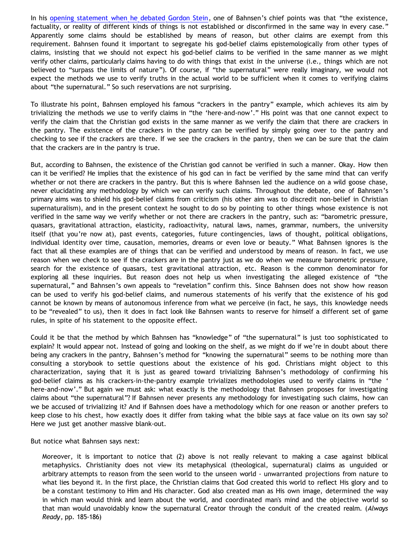In his [opening statement when he debated Gordon Stein](http://www.bellevuechristian.org/faculty/dribera/htdocs/PDFs/Apol_Bahnsen_Stein_Debate_Transcript.pdf), one of Bahnsen's chief points was that "the existence, factuality, or reality of different kinds of things is not established or disconfirmed in the same way in every case." Apparently some claims should be established by means of reason, but other claims are exempt from this requirement. Bahnsen found it important to segregate his god-belief claims epistemologically from other types of claims, insisting that we should not expect his god-belief claims to be verified in the same manner as we might verify other claims, particularly claims having to do with things that exist *in* the universe (i.e., things which are not believed to "surpass the limits of nature"). Of course, if "the supernatural" were really imaginary, we would not expect the methods we use to verify truths in the actual world to be sufficient when it comes to verifying claims about "the supernatural." So such reservations are not surprising.

To illustrate his point, Bahnsen employed his famous "crackers in the pantry" example, which achieves its aim by trivializing the methods we use to verify claims in "the 'here-and-now'." His point was that one cannot expect to verify the claim that the Christian god exists in the same manner as we verify the claim that there are crackers in the pantry. The existence of the crackers in the pantry can be verified by simply going over to the pantry and checking to see if the crackers are there. If we see the crackers in the pantry, then we can be sure that the claim that the crackers are in the pantry is true.

But, according to Bahnsen, the existence of the Christian god cannot be verified in such a manner. Okay. How then can it be verified? He implies that the existence of his god can in fact be verified by the same mind that can verify whether or not there are crackers in the pantry. But this is where Bahnsen led the audience on a wild goose chase, never elucidating any methodology by which we can verify such claims. Throughout the debate, one of Bahnsen's primary aims was to shield his god-belief claims from criticism (his other aim was to discredit non-belief in Christian supernaturalism), and in the present context he sought to do so by pointing to other things whose existence is not verified in the same way we verify whether or not there are crackers in the pantry, such as: "barometric pressure, quasars, gravitational attraction, elasticity, radioactivity, natural laws, names, grammar, numbers, the university itself (that you're now at), past events, categories, future contingencies, laws of thought, political obligations, individual identity over time, causation, memories, dreams or even love or beauty." What Bahnsen ignores is the fact that all these examples are of things that can be verified and understood by means of reason. In fact, we use reason when we check to see if the crackers are in the pantry just as we do when we measure barometric pressure, search for the existence of quasars, test gravitational attraction, etc. Reason is the common denominator for exploring all these inquiries. But reason does not help us when investigating the alleged existence of "the supernatural," and Bahnsen's own appeals to "revelation" confirm this. Since Bahnsen does not show how reason can be used to verify his god-belief claims, and numerous statements of his verify that the existence of his god cannot be known by means of autonomous inference from what we perceive (in fact, he says, this knowledge needs to be "revealed" to us), then it does in fact look like Bahnsen wants to reserve for himself a different set of game rules, in spite of his statement to the opposite effect.

Could it be that the method by which Bahnsen has "knowledge" of "the supernatural" is just too sophisticated to explain? It would appear not. Instead of going and looking on the shelf, as we might do if we're in doubt about there being any crackers in the pantry, Bahnsen's method for "knowing the supernatural" seems to be nothing more than consulting a storybook to settle questions about the existence of his god. Christians might object to this characterization, saying that it is just as geared toward trivializing Bahnsen's methodology of confirming his god-belief claims as his crackers-in-the-pantry example trivializes methodologies used to verify claims in "the ' here-and-now'." But again we must ask: what exactly is the methodology that Bahnsen proposes for investigating claims about "the supernatural"? If Bahnsen never presents any methodology for investigating such claims, how can we be accused of trivializing it? And if Bahnsen does have a methodology which for one reason or another prefers to keep close to his chest, how exactly does it differ from taking what the bible says at face value on its own say so? Here we just get another massive blank-out.

But notice what Bahnsen says next:

Moreover, it is important to notice that (2) above is not really relevant to making a case against biblical metaphysics. Christianity does not view its metaphysical (theological, supernatural) claims as unguided or arbitrary attempts to reason from the seen world to the unseen world - unwarranted projections from nature to what lies beyond it. In the first place, the Christian claims that God created this world to reflect His glory and to be a constant testimony to Him and His character. God also created man as His own image, determined the way in which man would think and learn about the world, and coordinated man's mind and the objective world so that man would unavoidably know the supernatural Creator through the conduit of the created realm. (*Always Ready*, pp. 185-186)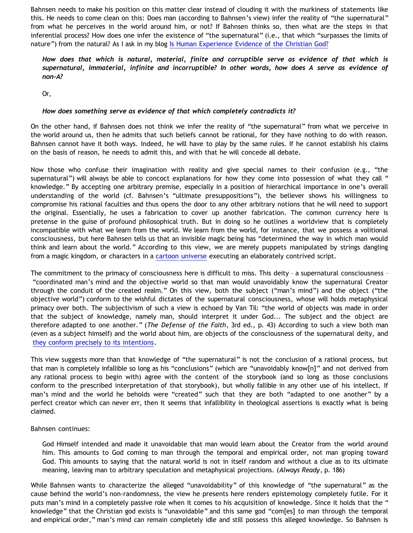Bahnsen needs to make his position on this matter clear instead of clouding it with the murkiness of statements like this. He needs to come clean on this: Does man (according to Bahnsen's view) infer the reality of "the supernatural" from what he perceives in the world around him, or not? If Bahnsen thinks so, then what are the steps in that inferential process? How does one infer the existence of "the supernatural" (i.e., that which "surpasses the limits of nature") from the natural? As I ask in my blog [Is Human Experience Evidence of the Christian God?](http://bahnsenburner.blogspot.com/2005/06/is-human-experience-evidence-of.html)

## *How does that which is natural, material, finite and corruptible serve as evidence of that which is supernatural, immaterial, infinite and incorruptible? In other words, how does A serve as evidence of non-A?*

Or,

## *How does something serve as evidence of that which completely contradicts it?*

On the other hand, if Bahnsen does not think we infer the reality of "the supernatural" from what we perceive in the world around us, then he admits that such beliefs cannot be rational, for they have nothing to do with reason. Bahnsen cannot have it both ways. Indeed, he will have to play by the same rules. If he cannot establish his claims on the basis of reason, he needs to admit this, and with that he will concede all debate.

Now those who confuse their imagination with reality and give special names to their confusion (e.g., "the supernatural") will always be able to concoct explanations for how they come into possession of what they call " knowledge." By accepting one arbitrary premise, especially in a position of hierarchical importance in one's overall understanding of the world (cf. Bahnsen's "ultimate presuppositions"), the believer shows his willingness to compromise his rational faculties and thus opens the door to any other arbitrary notions that he will need to support the original. Essentially, he uses a fabrication to cover up another fabrication. The common currency here is pretense in the guise of profound philosophical truth. But in doing so he outlines a worldview that is completely incompatible with what we learn from the world. We learn from the world, for instance, that we possess a volitional consciousness, but here Bahnsen tells us that an invisible magic being has "determined the way in which man would think and learn about the world." According to this view, we are merely puppets manipulated by strings dangling from a magic kingdom, or characters in a [cartoon universe](http://www.strongatheism.net/library/atheology/cartoon_universe_of_theism/) executing an elaborately contrived script.

The commitment to the primacy of consciousness here is difficult to miss. This deity – a supernatural consciousness – "coordinated man's mind and the objective world so that man would unavoidably know the supernatural Creator through the conduit of the created realm." On this view, both the subject ("man's mind") and the object ("the objective world") conform to the wishful dictates of the supernatural consciousness, whose will holds metaphysical primacy over both. The subjectivism of such a view is echoed by Van Til: "the world of objects was made in order that the subject of knowledge, namely man, should interpret it under God... The subject and the object are therefore adapted to one another." (*The Defense of the Faith*, 3rd ed., p. 43) According to such a view both man (even as a subject himself) and the world about him, are objects of the consciousness of the supernatural deity, and [they conform precisely to its intentions.](http://bahnsenburner.blogspot.com/2006/12/wishing-and-christian-deity.html)

This view suggests more than that knowledge of "the supernatural" is not the conclusion of a rational process, but that man is completely infallible so long as his "conclusions" (which are "unavoidably know[n]" and not derived from any rational process to begin with) agree with the content of the storybook (and so long as those conclusions conform to the prescribed interpretation of that storybook), but wholly fallible in any other use of his intellect. If man's mind and the world he beholds were "created" such that they are both "adapted to one another" by a perfect creator which can never err, then it seems that infallibility in theological assertions is exactly what is being claimed.

## Bahnsen continues:

God Himself intended and made it unavoidable that man would learn about the Creator from the world around him. This amounts to God coming to man through the temporal and empirical order, not man groping toward God. This amounts to saying that the natural world is not in itself random and without a clue as to its ultimate meaning, leaving man to arbitrary speculation and metaphysical projections. (*Always Ready*, p. 186)

While Bahnsen wants to characterize the alleged "unavoidability" of this knowledge of "the supernatural" as the cause behind the world's non-randomness, the view he presents here renders epistemology completely futile. For it puts man's mind in a completely passive role when it comes to his acquisition of knowledge. Since it holds that the " knowledge" that the Christian god exists is "unavoidable" and this same god "com[es] to man through the temporal and empirical order," man's mind can remain completely idle and still possess this alleged knowledge. So Bahnsen is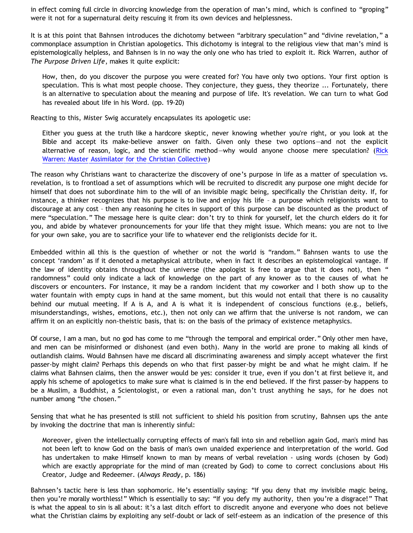in effect coming full circle in divorcing knowledge from the operation of man's mind, which is confined to "groping" were it not for a supernatural deity rescuing it from its own devices and helplessness.

It is at this point that Bahnsen introduces the dichotomy between "arbitrary speculation" and "divine revelation," a commonplace assumption in Christian apologetics. This dichotomy is integral to the religious view that man's mind is epistemologically helpless, and Bahnsen is in no way the only one who has tried to exploit it. Rick Warren, author of *The Purpose Driven Life*, makes it quite explicit:

How, then, do you discover the purpose you were created for? You have only two options. Your first option is speculation. This is what most people choose. They conjecture, they guess, they theorize ... Fortunately, there is an alternative to speculation about the meaning and purpose of life. It's revelation. We can turn to what God has revealed about life in his Word. (pp. 19-20)

Reacting to this, Mister Swig accurately encapsulates its apologetic use:

Either you guess at the truth like a hardcore skeptic, never knowing whether you're right, or you look at the Bible and accept its make-believe answer on faith. Given only these two options—and not the explicit alternative of reason, logic, and the scientific method—why would anyone choose mere speculation? [\(Rick](http://www.objectivismonline.net/content/view/108/34/) [Warren: Master Assimilator for the Christian Collective\)](http://www.objectivismonline.net/content/view/108/34/)

The reason why Christians want to characterize the discovery of one's purpose in life as a matter of speculation vs. revelation, is to frontload a set of assumptions which will be recruited to discredit any purpose one might decide for himself that does not subordinate him to the will of an invisible magic being, specifically the Christian deity. If, for instance, a thinker recognizes that his purpose is to live and enjoy his life – a purpose which religionists want to discourage at any cost – then any reasoning he cites in support of this purpose can be discounted as the product of mere "speculation." The message here is quite clear: don't try to think for yourself, let the church elders do it for you, and abide by whatever pronouncements for your life that they might issue. Which means: you are not to live for your own sake, you are to sacrifice your life to whatever end the religionists decide for it.

Embedded within all this is the question of whether or not the world is "random." Bahnsen wants to use the concept 'random' as if it denoted a metaphysical attribute, when in fact it describes an epistemological vantage. If the law of identity obtains throughout the universe (the apologist is free to argue that it does not), then " randomness" could only indicate a lack of knowledge on the part of any knower as to the causes of what he discovers or encounters. For instance, it may be a random incident that my coworker and I both show up to the water fountain with empty cups in hand at the same moment, but this would not entail that there is no causality behind our mutual meeting. If A is A, and A is what it is independent of conscious functions (e.g., beliefs, misunderstandings, wishes, emotions, etc.), then not only can we affirm that the universe is not random, we can affirm it on an explicitly non-theistic basis, that is: on the basis of the primacy of existence metaphysics.

Of course, I am a man, but no god has come to me "through the temporal and empirical order." Only other men have, and men can be misinformed or dishonest (and even both). Many in the world are prone to making all kinds of outlandish claims. Would Bahnsen have me discard all discriminating awareness and simply accept whatever the first passer-by might claim? Perhaps this depends on who that first passer-by might be and what he might claim. If he claims what Bahnsen claims, then the answer would be yes: consider it true, even if you don't at first believe it, and apply his scheme of apologetics to make sure what is claimed is in the end believed. If the first passer-by happens to be a Muslim, a Buddhist, a Scientologist, or even a rational man, don't trust anything he says, for he does not number among "the chosen."

Sensing that what he has presented is still not sufficient to shield his position from scrutiny, Bahnsen ups the ante by invoking the doctrine that man is inherently sinful:

Moreover, given the intellectually corrupting effects of man's fall into sin and rebellion again God, man's mind has not been left to know God on the basis of man's own unaided experience and interpretation of the world. God has undertaken to make Himself known to man by means of verbal revelation - using words (chosen by God) which are exactly appropriate for the mind of man (created by God) to come to correct conclusions about His Creator, Judge and Redeemer. (*Always Ready*, p. 186)

Bahnsen's tactic here is less than sophomoric. He's essentially saying: "If you deny that my invisible magic being, then you're morally worthless!" Which is essentially to say: "If you defy my authority, then you're a disgrace!" That is what the appeal to sin is all about: it's a last ditch effort to discredit anyone and everyone who does not believe what the Christian claims by exploiting any self-doubt or lack of self-esteem as an indication of the presence of this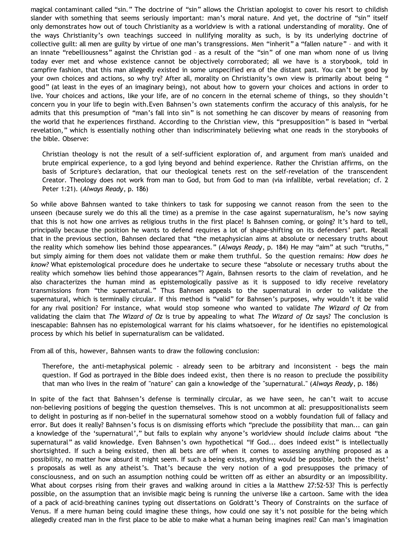magical contaminant called "sin." The doctrine of "sin" allows the Christian apologist to cover his resort to childish slander with something that seems seriously important: man's moral nature. And yet, the doctrine of "sin" itself only demonstrates how out of touch Christianity as a worldview is with a rational understanding of morality. One of the ways Christianity's own teachings succeed in nullifying morality as such, is by its underlying doctrine of collective guilt: all men are guilty by virtue of one man's transgressions. Men "inherit" a "fallen nature" – and with it an innate "rebelliousness" against the Christian god – as a result of the "sin" of one man whom none of us living today ever met and whose existence cannot be objectively corroborated; all we have is a storybook, told in campfire fashion, that this man allegedly existed in some unspecified era of the distant past. You can't be good by your own choices and actions, so why try? After all, morality on Christianity's own view is primarily about being " good" (at least in the eyes of an imaginary being), not about how to govern your choices and actions in order to live. Your choices and actions, like your life, are of no concern in the eternal scheme of things, so they shouldn't concern you in your life to begin with.Even Bahnsen's own statements confirm the accuracy of this analysis, for he admits that this presumption of "man's fall into sin" is not something he can discover by means of reasoning from the world that he experiences firsthand. According to the Christian view, this "presupposition" is based in "verbal revelation," which is essentially nothing other than indiscriminately believing what one reads in the storybooks of the bible. Observe:

Christian theology is not the result of a self-sufficient exploration of, and argument from man's unaided and brute empirical experience, to a god lying beyond and behind experience. Rather the Christian affirms, on the basis of Scripture's declaration, that our theological tenets rest on the self-revelation of the transcendent Creator. Theology does not work from man to God, but from God to man (via infallible, verbal revelation; cf. 2 Peter 1:21). (*Always Ready*, p. 186)

So while above Bahnsen wanted to take thinkers to task for supposing we cannot reason from the seen to the unseen (because surely we do this all the time) as a premise in the case against supernaturalism, he's now saying that this is not how one arrives as religious truths in the first place! Is Bahnsen coming, or going? It's hard to tell, principally because the position he wants to defend requires a lot of shape-shifting on its defenders' part. Recall that in the previous section, Bahnsen declared that "the metaphysician aims at absolute or necessary truths about the reality which somehow lies behind those appearances." (*Always Ready*, p. 184) He may "aim" at such "truths," but simply aiming for them does not validate them or make them truthful. So the question remains: *How does he know?* What epistemological procedure does he undertake to secure these "absolute or necessary truths about the reality which somehow lies behind those appearances"? Again, Bahnsen resorts to the claim of revelation, and he also characterizes the human mind as epistemologically passive as it is supposed to idly receive revelatory transmissions from "the supernatural." Thus Bahnsen appeals to the supernatural in order to validate the supernatural, which is terminally circular. If this method is "valid" for Bahnsen's purposes, why wouldn't it be valid for any rival position? For instance, what would stop someone who wanted to validate *The Wizard of Oz* from validating the claim that *The Wizard of Oz* is true by appealing to what *The Wizard of Oz* says? The conclusion is inescapable: Bahnsen has no epistemological warrant for his claims whatsoever, for he identifies no epistemological process by which his belief in supernaturalism can be validated.

From all of this, however, Bahnsen wants to draw the following conclusion:

Therefore, the anti-metaphysical polemic - already seen to be arbitrary and inconsistent - begs the main question. If God as portrayed in the Bible does indeed exist, then there is no reason to preclude the possibility that man who lives in the realm of "nature" can gain a knowledge of the "supernatural." (*Always Ready*, p. 186)

In spite of the fact that Bahnsen's defense is terminally circular, as we have seen, he can't wait to accuse non-believing positions of begging the question themselves. This is not uncommon at all: presuppositionalists seem to delight in posturing as if non-belief in the supernatural somehow stood on a wobbly foundation full of fallacy and error. But does it really? Bahnsen's focus is on dismissing efforts which "preclude the possibility that man... can gain a knowledge of the 'supernatural'," but fails to explain why anyone's worldview should *include* claims about "the supernatural" as valid knowledge. Even Bahnsen's own hypothetical "If God... does indeed exist" is intellectually shortsighted. If such a being existed, then all bets are off when it comes to assessing anything proposed as a possibility, no matter how absurd it might seem. If such a being exists, anything would be possible, both the theist' s proposals as well as any atheist's. That's because the very notion of a god presupposes the primacy of consciousness, and on such an assumption nothing could be written off as either an absurdity or an impossibility. What about corpses rising from their graves and walking around in cities a la Matthew 27:52-53? This is perfectly possible, on the assumption that an invisible magic being is running the universe like a cartoon. Same with the idea of a pack of acid-breathing canines typing out dissertations on Goldratt's Theory of Constraints on the surface of Venus. If a mere human being could imagine these things, how could one say it's not possible for the being which allegedly created man in the first place to be able to make what a human being imagines real? Can man's imagination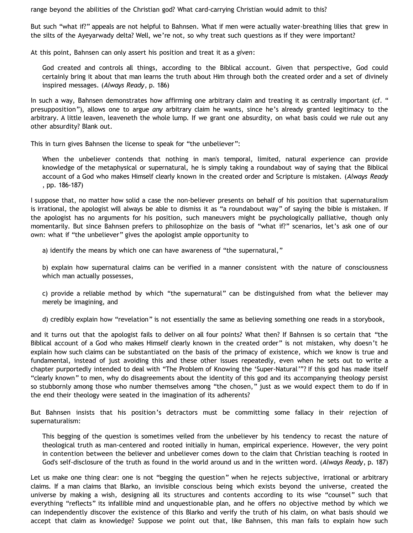range beyond the abilities of the Christian god? What card-carrying Christian would admit to this?

But such "what if?" appeals are not helpful to Bahnsen. What if men were actually water-breathing lilies that grew in the silts of the Ayeyarwady delta? Well, we're not, so why treat such questions as if they were important?

At this point, Bahnsen can only assert his position and treat it as a *given*:

God created and controls all things, according to the Biblical account. Given that perspective, God could certainly bring it about that man learns the truth about Him through both the created order and a set of divinely inspired messages. (*Always Ready*, p. 186)

In such a way, Bahnsen demonstrates how affirming one arbitrary claim and treating it as centrally important (cf. " presupposition"), allows one to argue *any* arbitrary claim he wants, since he's already granted legitimacy to the arbitrary. A little leaven, leaveneth the whole lump. If we grant one absurdity, on what basis could we rule out any other absurdity? Blank out.

This in turn gives Bahnsen the license to speak for "the unbeliever":

When the unbeliever contends that nothing in man's temporal, limited, natural experience can provide knowledge of the metaphysical or supernatural, he is simply taking a roundabout way of saying that the Biblical account of a God who makes Himself clearly known in the created order and Scripture is mistaken. (*Always Ready* , pp. 186-187)

I suppose that, no matter how solid a case the non-believer presents on behalf of his position that supernaturalism is irrational, the apologist will always be able to dismiss it as "a roundabout way" of saying the bible is mistaken. If the apologist has no arguments for his position, such maneuvers might be psychologically palliative, though only momentarily. But since Bahnsen prefers to philosophize on the basis of "what if?" scenarios, let's ask one of our own: what if "the unbeliever" gives the apologist ample opportunity to

a) identify the means by which one can have awareness of "the supernatural,"

b) explain how supernatural claims can be verified in a manner consistent with the nature of consciousness which man actually possesses,

c) provide a reliable method by which "the supernatural" can be distinguished from what the believer may merely be imagining, and

d) credibly explain how "revelation" is not essentially the same as believing something one reads in a storybook,

and it turns out that the apologist fails to deliver on all four points? What then? If Bahnsen is so certain that "the Biblical account of a God who makes Himself clearly known in the created order" is not mistaken, why doesn't he explain how such claims can be substantiated on the basis of the primacy of existence, which we know is true and fundamental, instead of just avoiding this and these other issues repeatedly, even when he sets out to write a chapter purportedly intended to deal with "The Problem of Knowing the 'Super-Natural'"? If this god has made itself "clearly known" to men, why do disagreements about the identity of this god and its accompanying theology persist so stubbornly among those who number themselves among "the chosen," just as we would expect them to do if in the end their theology were seated in the imagination of its adherents?

But Bahnsen insists that his position's detractors must be committing some fallacy in their rejection of supernaturalism:

This begging of the question is sometimes veiled from the unbeliever by his tendency to recast the nature of theological truth as man-centered and rooted initially in human, empirical experience. However, the very point in contention between the believer and unbeliever comes down to the claim that Christian teaching is rooted in God's self-disclosure of the truth as found in the world around us and in the written word. (*Always Ready*, p. 187)

Let us make one thing clear: one is not "begging the question" when he rejects subjective, irrational or arbitrary claims. If a man claims that Blarko, an invisible conscious being which exists beyond the universe, created the universe by making a wish, designing all its structures and contents according to its wise "counsel" such that everything "reflects" its infallible mind and unquestionable plan, and he offers no objective method by which we can independently discover the existence of this Blarko and verify the truth of his claim, on what basis should we accept that claim as knowledge? Suppose we point out that, like Bahnsen, this man fails to explain how such